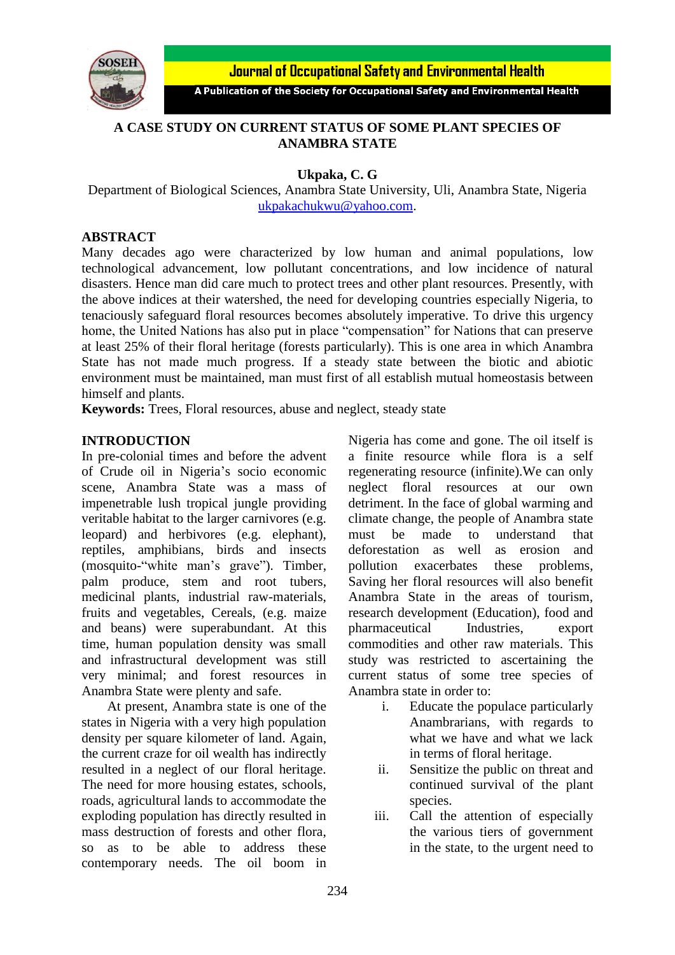

**Journal of Occupational Safety and Environmental Health** 

A Publication of the Society for Occupational Safety and Environmental Health

## **A CASE STUDY ON CURRENT STATUS OF SOME PLANT SPECIES OF ANAMBRA STATE**

**Ukpaka, C. G** 

Department of Biological Sciences, Anambra State University, Uli, Anambra State, Nigeria [ukpakachukwu@yahoo.com.](mailto:ukpakachukwu@yahoo.com)

#### **ABSTRACT**

Many decades ago were characterized by low human and animal populations, low technological advancement, low pollutant concentrations, and low incidence of natural disasters. Hence man did care much to protect trees and other plant resources. Presently, with the above indices at their watershed, the need for developing countries especially Nigeria, to tenaciously safeguard floral resources becomes absolutely imperative. To drive this urgency home, the United Nations has also put in place "compensation" for Nations that can preserve at least 25% of their floral heritage (forests particularly). This is one area in which Anambra State has not made much progress. If a steady state between the biotic and abiotic environment must be maintained, man must first of all establish mutual homeostasis between himself and plants.

**Keywords:** Trees, Floral resources, abuse and neglect, steady state

#### **INTRODUCTION**

In pre-colonial times and before the advent of Crude oil in Nigeria's socio economic scene, Anambra State was a mass of impenetrable lush tropical jungle providing veritable habitat to the larger carnivores (e.g. leopard) and herbivores (e.g. elephant), reptiles, amphibians, birds and insects (mosquito-"white man's grave"). Timber, palm produce, stem and root tubers, medicinal plants, industrial raw-materials, fruits and vegetables, Cereals, (e.g. maize and beans) were superabundant. At this time, human population density was small and infrastructural development was still very minimal; and forest resources in Anambra State were plenty and safe.

At present, Anambra state is one of the states in Nigeria with a very high population density per square kilometer of land. Again, the current craze for oil wealth has indirectly resulted in a neglect of our floral heritage. The need for more housing estates, schools, roads, agricultural lands to accommodate the exploding population has directly resulted in mass destruction of forests and other flora, so as to be able to address these contemporary needs. The oil boom in Nigeria has come and gone. The oil itself is a finite resource while flora is a self regenerating resource (infinite).We can only neglect floral resources at our own detriment. In the face of global warming and climate change, the people of Anambra state must be made to understand that deforestation as well as erosion and pollution exacerbates these problems, Saving her floral resources will also benefit Anambra State in the areas of tourism, research development (Education), food and pharmaceutical Industries, export commodities and other raw materials. This study was restricted to ascertaining the current status of some tree species of Anambra state in order to:

- i. Educate the populace particularly Anambrarians, with regards to what we have and what we lack in terms of floral heritage.
- ii. Sensitize the public on threat and continued survival of the plant species.
- iii. Call the attention of especially the various tiers of government in the state, to the urgent need to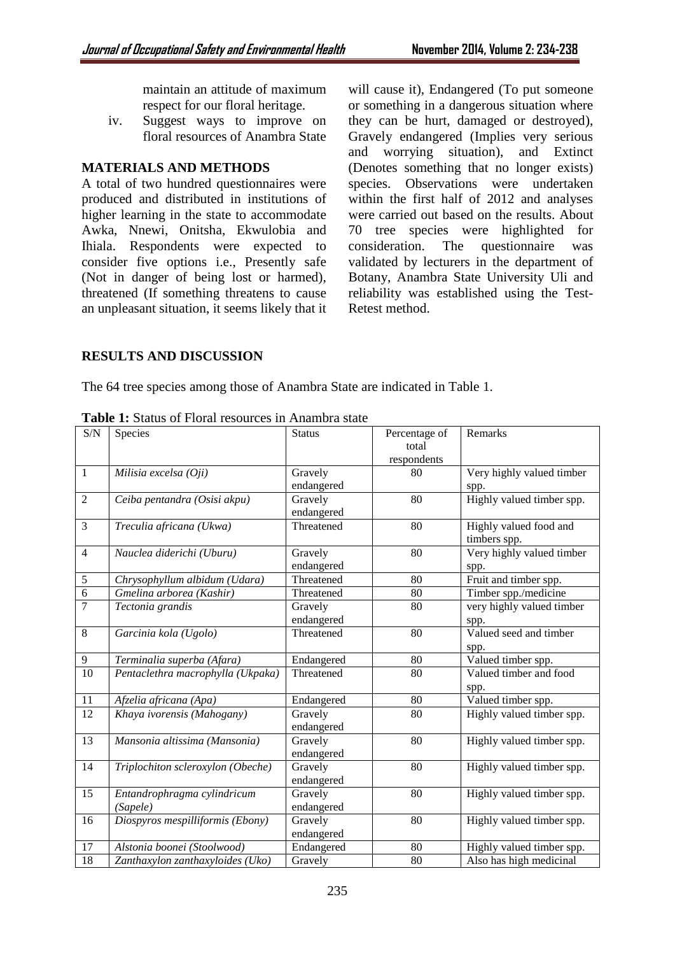maintain an attitude of maximum respect for our floral heritage.

iv. Suggest ways to improve on floral resources of Anambra State

### **MATERIALS AND METHODS**

A total of two hundred questionnaires were produced and distributed in institutions of higher learning in the state to accommodate Awka, Nnewi, Onitsha, Ekwulobia and Ihiala. Respondents were expected to consider five options i.e., Presently safe (Not in danger of being lost or harmed), threatened (If something threatens to cause an unpleasant situation, it seems likely that it

will cause it), Endangered (To put someone or something in a dangerous situation where they can be hurt, damaged or destroyed), Gravely endangered (Implies very serious and worrying situation), and Extinct (Denotes something that no longer exists) species. Observations were undertaken within the first half of 2012 and analyses were carried out based on the results. About 70 tree species were highlighted for consideration. The questionnaire was validated by lecturers in the department of Botany, Anambra State University Uli and reliability was established using the Test-Retest method.

## **RESULTS AND DISCUSSION**

The 64 tree species among those of Anambra State are indicated in Table 1.

| S/N             | Species                           | <b>Status</b> | Percentage of   | Remarks                   |
|-----------------|-----------------------------------|---------------|-----------------|---------------------------|
|                 |                                   |               | total           |                           |
|                 |                                   |               | respondents     |                           |
| 1               | Milisia excelsa (Oji)             | Gravely       | 80              | Very highly valued timber |
|                 |                                   | endangered    |                 | spp.                      |
| $\overline{2}$  | Ceiba pentandra (Osisi akpu)      | Gravely       | $\overline{80}$ | Highly valued timber spp. |
|                 |                                   | endangered    |                 |                           |
| 3               | Treculia africana (Ukwa)          | Threatened    | 80              | Highly valued food and    |
|                 |                                   |               |                 | timbers spp.              |
| $\overline{4}$  | Nauclea diderichi (Uburu)         | Gravely       | 80              | Very highly valued timber |
|                 |                                   | endangered    |                 | spp.                      |
| 5               | Chrysophyllum albidum (Udara)     | Threatened    | 80              | Fruit and timber spp.     |
| $\overline{6}$  | Gmelina arborea (Kashir)          | Threatened    | 80              | Timber spp./medicine      |
| $\overline{7}$  | Tectonia grandis                  | Gravely       | 80              | very highly valued timber |
|                 |                                   | endangered    |                 | spp.                      |
| 8               | Garcinia kola (Ugolo)             | Threatened    | 80              | Valued seed and timber    |
|                 |                                   |               |                 | spp.                      |
| 9               | Terminalia superba (Afara)        | Endangered    | 80              | Valued timber spp.        |
| $\overline{10}$ | Pentaclethra macrophylla (Ukpaka) | Threatened    | 80              | Valued timber and food    |
|                 |                                   |               |                 | spp.                      |
| 11              | Afzelia africana (Apa)            | Endangered    | 80              | Valued timber spp.        |
| $\overline{12}$ | Khaya ivorensis (Mahogany)        | Gravely       | 80              | Highly valued timber spp. |
|                 |                                   | endangered    |                 |                           |
| $\overline{13}$ | Mansonia altissima (Mansonia)     | Gravely       | 80              | Highly valued timber spp. |
|                 |                                   | endangered    |                 |                           |
| 14              | Triplochiton scleroxylon (Obeche) | Gravely       | 80              | Highly valued timber spp. |
|                 |                                   | endangered    |                 |                           |
| 15              | Entandrophragma cylindricum       | Gravely       | 80              | Highly valued timber spp. |
|                 | (Sapele)                          | endangered    |                 |                           |
| 16              | Diospyros mespilliformis (Ebony)  | Gravely       | 80              | Highly valued timber spp. |
|                 |                                   | endangered    |                 |                           |
| 17              | Alstonia boonei (Stoolwood)       | Endangered    | 80              | Highly valued timber spp. |
| 18              | Zanthaxylon zanthaxyloides (Uko)  | Gravely       | 80              | Also has high medicinal   |

Table 1: Status of Floral resources in Anambra state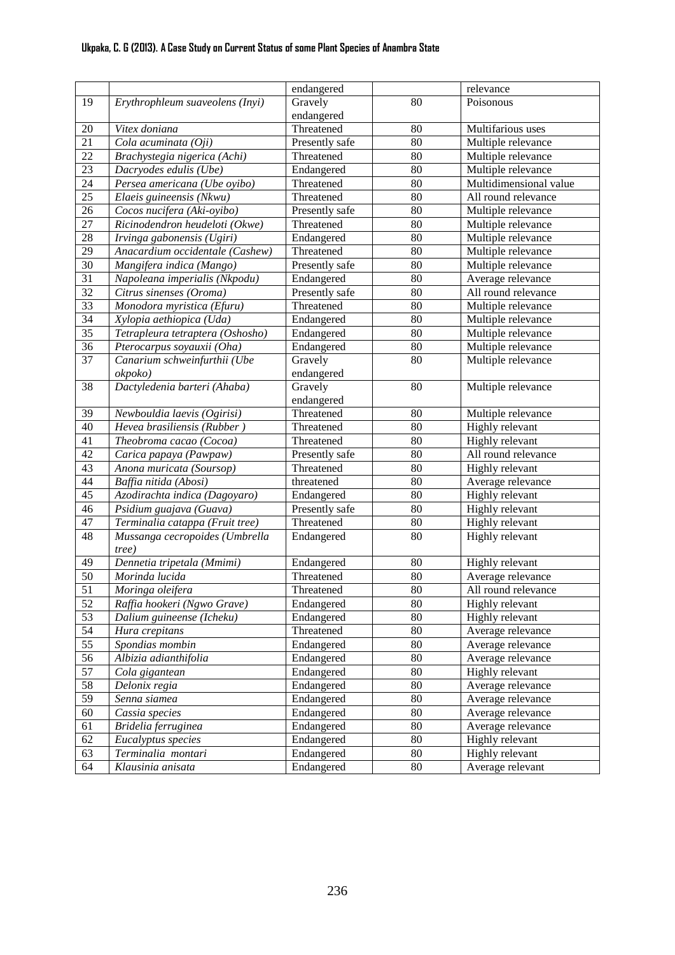## **Ukpaka, C. G (2013). A Case Study on Current Status of some Plant Species of Anambra State**

|                 |                                  | endangered     |                 | relevance              |
|-----------------|----------------------------------|----------------|-----------------|------------------------|
| 19              | Erythrophleum suaveolens (Inyi)  | Gravely        | $\overline{80}$ | Poisonous              |
|                 |                                  | endangered     |                 |                        |
| $20\,$          | Vitex doniana                    | Threatened     | 80              | Multifarious uses      |
| $\overline{21}$ | Cola acuminata (Oji)             | Presently safe | 80              | Multiple relevance     |
| $\overline{22}$ | Brachystegia nigerica (Achi)     | Threatened     | 80              | Multiple relevance     |
| $\overline{23}$ | Dacryodes edulis (Ube)           | Endangered     | 80              | Multiple relevance     |
| 24              | Persea americana (Ube oyibo)     | Threatened     | 80              | Multidimensional value |
| $\overline{25}$ | Elaeis guineensis (Nkwu)         | Threatened     | 80              | All round relevance    |
| 26              | Cocos nucifera (Aki-oyibo)       | Presently safe | 80              | Multiple relevance     |
| $\overline{27}$ | Ricinodendron heudeloti (Okwe)   | Threatened     | 80              | Multiple relevance     |
| $\overline{28}$ | Irvinga gabonensis (Ugiri)       | Endangered     | 80              | Multiple relevance     |
| $\overline{29}$ | Anacardium occidentale (Cashew)  | Threatened     | 80              | Multiple relevance     |
| $\overline{30}$ | Mangifera indica (Mango)         | Presently safe | 80              | Multiple relevance     |
| $\overline{31}$ | Napoleana imperialis (Nkpodu)    | Endangered     | 80              | Average relevance      |
| $\overline{32}$ | Citrus sinenses (Oroma)          | Presently safe | 80              | All round relevance    |
| $\overline{33}$ | Monodora myristica (Efuru)       | Threatened     | 80              | Multiple relevance     |
| $\overline{34}$ | Xylopia aethiopica (Uda)         | Endangered     | 80              | Multiple relevance     |
| $\overline{35}$ | Tetrapleura tetraptera (Oshosho) | Endangered     | 80              | Multiple relevance     |
| 36              | Pterocarpus soyauxii (Oha)       | Endangered     | 80              | Multiple relevance     |
| 37              | Canarium schweinfurthii (Ube     | Gravely        | 80              | Multiple relevance     |
|                 | okpoko)                          | endangered     |                 |                        |
| 38              | Dactyledenia barteri (Ahaba)     | Gravely        | 80              | Multiple relevance     |
|                 |                                  | endangered     |                 |                        |
| 39              | Newbouldia laevis (Ogirisi)      | Threatened     | 80              | Multiple relevance     |
| 40              | Hevea brasiliensis (Rubber)      | Threatened     | 80              | Highly relevant        |
| 41              | Theobroma cacao (Cocoa)          | Threatened     | 80              | Highly relevant        |
| 42              | Carica papaya (Pawpaw)           | Presently safe | 80              | All round relevance    |
| 43              | Anona muricata (Soursop)         | Threatened     | 80              | Highly relevant        |
| 44              | Baffia nitida (Abosi)            | threatened     | 80              | Average relevance      |
| 45              | Azodirachta indica (Dagoyaro)    | Endangered     | 80              | Highly relevant        |
| 46              | Psidium guajava (Guava)          | Presently safe | 80              | Highly relevant        |
| 47              | Terminalia catappa (Fruit tree)  | Threatened     | 80              | Highly relevant        |
| 48              | Mussanga cecropoides (Umbrella   | Endangered     | 80              | Highly relevant        |
|                 | tree)                            |                |                 |                        |
| 49              | Dennetia tripetala (Mmimi)       | Endangered     | 80              | Highly relevant        |
| 50              | Morinda lucida                   | Threatened     | 80              | Average relevance      |
| 51              | Moringa oleifera                 | Threatened     | 80              | All round relevance    |
| 52              | Raffia hookeri (Ngwo Grave)      | Endangered     | 80              | Highly relevant        |
| 53              | Dalium guineense (Icheku)        | Endangered     | 80              | Highly relevant        |
| 54              | Hura crepitans                   | Threatened     | 80              | Average relevance      |
| $\overline{55}$ | Spondias mombin                  | Endangered     | 80              | Average relevance      |
| 56              | Albizia adianthifolia            | Endangered     | 80              | Average relevance      |
| 57              | Cola gigantean                   | Endangered     | 80              | Highly relevant        |
| 58              | Delonix regia                    | Endangered     | 80              | Average relevance      |
| 59              | Senna siamea                     | Endangered     | 80              | Average relevance      |
| 60              | Cassia species                   | Endangered     | 80              | Average relevance      |
| 61              | Bridelia ferruginea              | Endangered     | 80              | Average relevance      |
| 62              | Eucalyptus species               | Endangered     | 80              | Highly relevant        |
| 63              | Terminalia montari               | Endangered     | 80              | Highly relevant        |
| 64              | Klausinia anisata                | Endangered     | 80              | Average relevant       |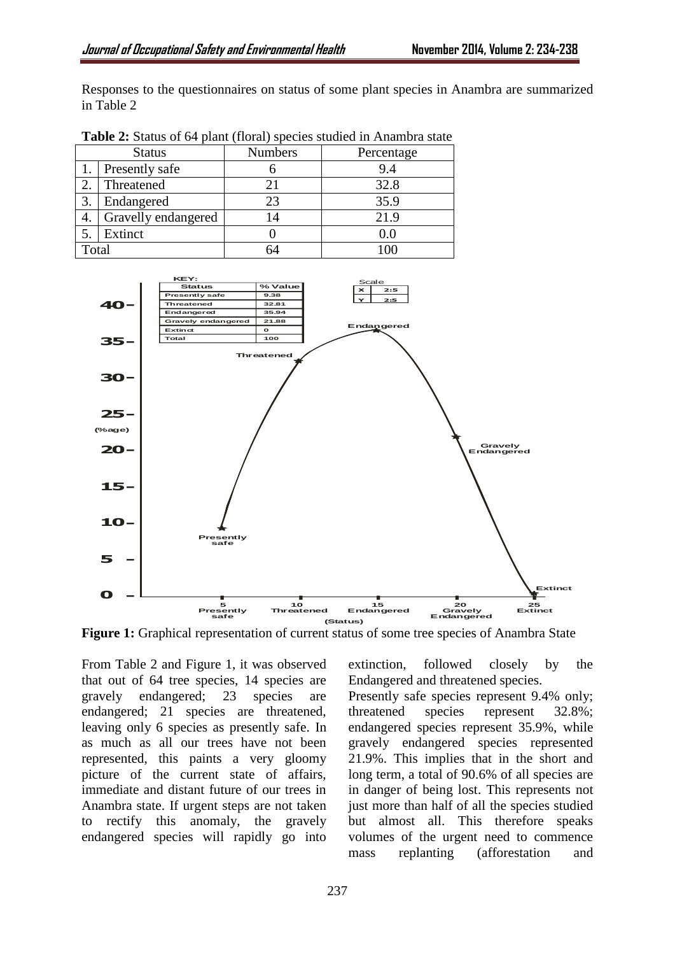Responses to the questionnaires on status of some plant species in Anambra are summarized in Table 2

| <b>Status</b> |                     | <b>Numbers</b> | Percentage |  |
|---------------|---------------------|----------------|------------|--|
|               | Presently safe      |                | 9.4        |  |
|               | Threatened          | 21             | 32.8       |  |
|               | Endangered          | 23             | 35.9       |  |
|               | Gravelly endangered | 14             | 21.9       |  |
|               | Extinct             |                |            |  |
| Total         |                     |                |            |  |

**Table 2:** Status of 64 plant (floral) species studied in Anambra state



Figure 1: Graphical representation of current status of some tree species of Anambra State

From Table 2 and Figure 1, it was observed that out of 64 tree species, 14 species are gravely endangered; 23 species are endangered; 21 species are threatened, leaving only 6 species as presently safe. In as much as all our trees have not been represented, this paints a very gloomy picture of the current state of affairs, immediate and distant future of our trees in Anambra state. If urgent steps are not taken to rectify this anomaly, the gravely endangered species will rapidly go into

extinction, followed closely by the Endangered and threatened species.

Presently safe species represent 9.4% only; threatened species represent 32.8%; endangered species represent 35.9%, while gravely endangered species represented 21.9%. This implies that in the short and long term, a total of 90.6% of all species are in danger of being lost. This represents not just more than half of all the species studied but almost all. This therefore speaks volumes of the urgent need to commence mass replanting (afforestation and